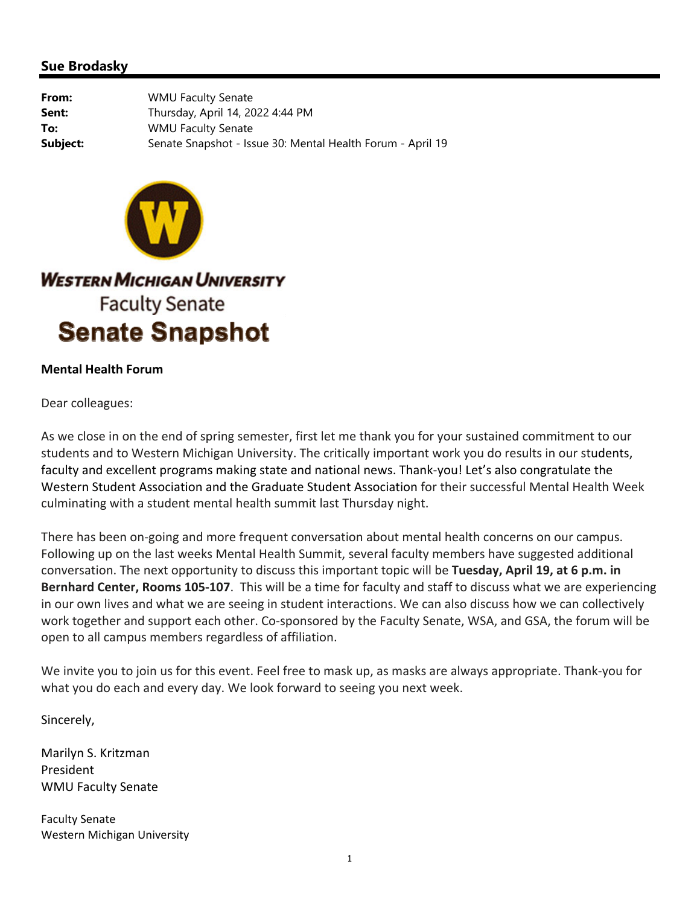## **Sue Brodasky**

**From:** WMU Faculty Senate **Sent:** Thursday, April 14, 2022 4:44 PM **To:** WMU Faculty Senate **Subject:** Senate Snapshot - Issue 30: Mental Health Forum - April 19



**WESTERN MICHIGAN UNIVERSITY Faculty Senate Senate Snapshot** 

## **Mental Health Forum**

Dear colleagues:

As we close in on the end of spring semester, first let me thank you for your sustained commitment to our students and to Western Michigan University. The critically important work you do results in our students, faculty and excellent programs making state and national news. Thank‐you! Let's also congratulate the Western Student Association and the Graduate Student Association for their successful Mental Health Week culminating with a student mental health summit last Thursday night.

There has been on‐going and more frequent conversation about mental health concerns on our campus. Following up on the last weeks Mental Health Summit, several faculty members have suggested additional conversation. The next opportunity to discuss this important topic will be **Tuesday, April 19, at 6 p.m. in Bernhard Center, Rooms 105‐107**. This will be a time for faculty and staff to discuss what we are experiencing in our own lives and what we are seeing in student interactions. We can also discuss how we can collectively work together and support each other. Co-sponsored by the Faculty Senate, WSA, and GSA, the forum will be open to all campus members regardless of affiliation.

We invite you to join us for this event. Feel free to mask up, as masks are always appropriate. Thank‐you for what you do each and every day. We look forward to seeing you next week.

Sincerely,

Marilyn S. Kritzman President WMU Faculty Senate

Faculty Senate Western Michigan University